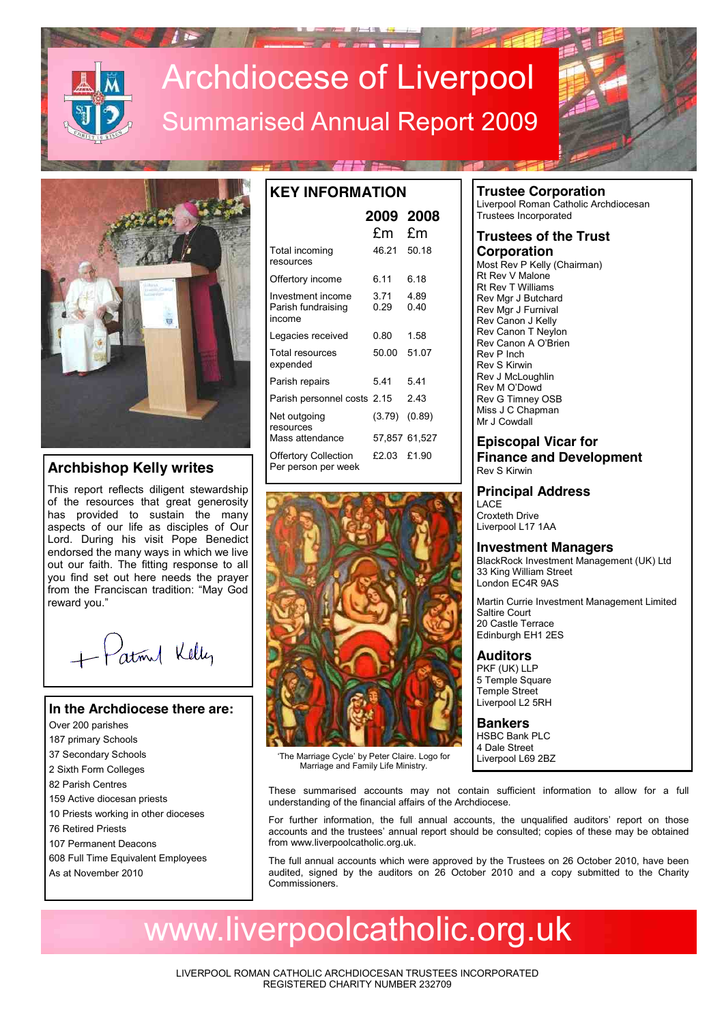# Archdiocese of Liverpool Summarised Annual Report 2009



## **Archbishop Kelly writes**

This report reflects diligent stewardship of the resources that great generosity has provided to sustain the many aspects of our life as disciples of Our Lord. During his visit Pope Benedict endorsed the many ways in which we live out our faith. The fitting response to all you find set out here needs the prayer from the Franciscan tradition: "May God reward you."

+ Patrol Kelly

#### **In the Archdiocese there are:**

- Over 200 parishes
- 187 primary Schools
- 37 Secondary Schools
- 2 Sixth Form Colleges
- 82 Parish Centres
- 159 Active diocesan priests
- 10 Priests working in other dioceses
- 76 Retired Priests
- 107 Permanent Deacons
- 608 Full Time Equivalent Employees
- As at November 2010

| <b>KEY INFORMATION</b><br>2009 2008                |              |               |  |
|----------------------------------------------------|--------------|---------------|--|
|                                                    | £m £m        |               |  |
|                                                    |              |               |  |
| Total incoming<br>resources                        | 46.21 50.18  |               |  |
| Offertory income                                   | 6 11         | 6 18          |  |
| Investment income<br>Parish fundraising<br>income  | 3 71<br>0.29 | 489<br>0.40   |  |
| Legacies received                                  | 0.80         | 1.58          |  |
| Total resources<br>expended                        | 50.00        | 51.07         |  |
| Parish repairs                                     | 541          | 541           |  |
| Parish personnel costs 2.15                        |              | 243           |  |
| Net outgoing<br>resources                          | (3.79)       | (0.89)        |  |
| Mass attendance                                    |              | 57,857 61,527 |  |
| <b>Offertory Collection</b><br>Per person per week | £2 03        | £1.90         |  |



'The Marriage Cycle' by Peter Claire. Logo for Marriage and Family Life Ministry.

# **Trustee Corporation**

Liverpool Roman Catholic Archdiocesan Trustees Incorporated

### **Trustees of the Trust Corporation**

Most Rev P Kelly (Chairman) Rt Rev V Malone Rt Rev T Williams Rev Mgr J Butchard Rev Mgr J Furnival Rev Canon J Kelly Rev Canon T Neylon Rev Canon A O'Brien Rev P Inch Rev S Kirwin Rev J McLoughlin Rev M O'Dowd Rev G Timney OSB Miss J C Chapman Mr J Cowdall

**Episcopal Vicar for Finance and Development** Rev S Kirwin

**Principal Address**

LACE Croxteth Drive Liverpool L17 1AA

### **Investment Managers**

BlackRock Investment Management (UK) Ltd 33 King William Street London EC4R 9AS

Martin Currie Investment Management Limited Saltire Court 20 Castle Terrace Edinburgh EH1 2ES

### **Auditors**

PKF (UK) LLP 5 Temple Square Temple Street Liverpool L2 5RH

**Bankers** HSBC Bank PLC 4 Dale Street Liverpool L69 2BZ

These summarised accounts may not contain sufficient information to allow for a full understanding of the financial affairs of the Archdiocese.

For further information, the full annual accounts, the unqualified auditors' report on those accounts and the trustees' annual report should be consulted; copies of these may be obtained from www.liverpoolcatholic.org.uk.

The full annual accounts which were approved by the Trustees on 26 October 2010, have been audited, signed by the auditors on 26 October 2010 and a copy submitted to the Charity Commissioners.

# www.liverpoolcatholic.org.uk

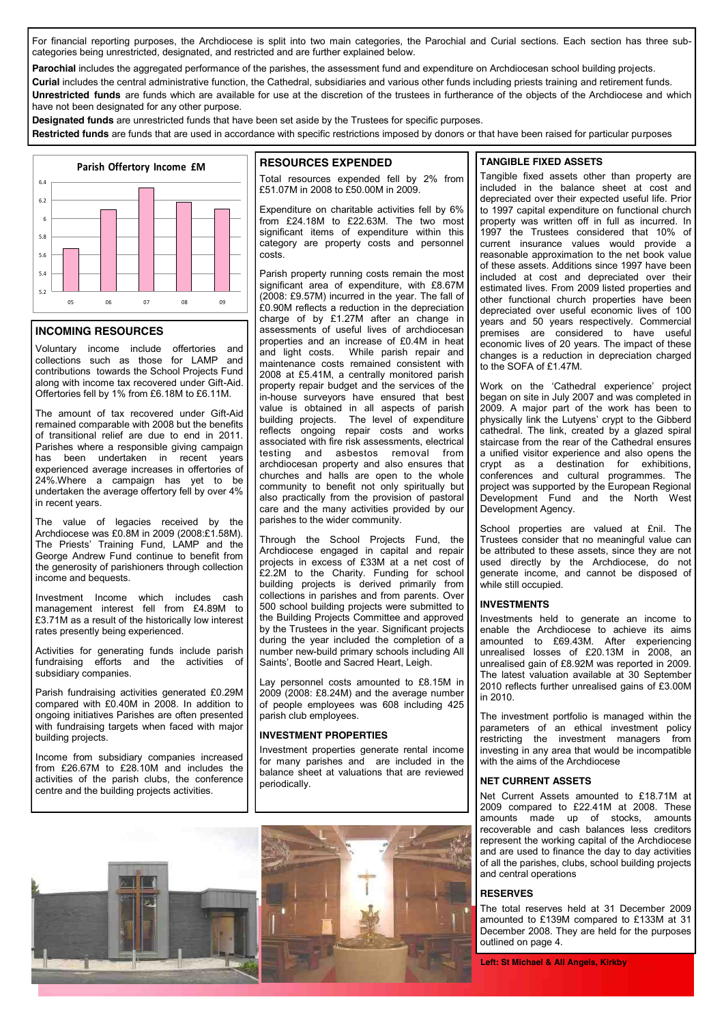For financial reporting purposes, the Archdiocese is split into two main categories, the Parochial and Curial sections. Each section has three subcategories being unrestricted, designated, and restricted and are further explained below.

Parochial includes the aggregated performance of the parishes, the assessment fund and expenditure on Archdiocesan school building projects.

**Curial** includes the central administrative function, the Cathedral, subsidiaries and various other funds including priests training and retirement funds. **Unrestricted funds** are funds which are available for use at the discretion of the trustees in furtherance of the objects of the Archdiocese and which have not been designated for any other purpose.

**Designated funds** are unrestricted funds that have been set aside by the Trustees for specific purposes.

**Restricted funds** are funds that are used in accordance with specific restrictions imposed by donors or that have been raised for particular purposes



#### **INCOMING RESOURCES**

Voluntary income include offertories and collections such as those for LAMP and contributions towards the School Projects Fund along with income tax recovered under Gift-Aid. Offertories fell by 1% from £6.18M to £6.11M.

The amount of tax recovered under Gift-Aid remained comparable with 2008 but the benefits of transitional relief are due to end in 2011. Parishes where a responsible giving campaign has been undertaken in recent years experienced average increases in offertories of 24%.Where a campaign has yet to be undertaken the average offertory fell by over 4% in recent years.

The value of legacies received by the Archdiocese was  $f0.8M$  in 2009 (2008: $f1.58M$ ). The Priests' Training Fund, LAMP and the George Andrew Fund continue to benefit from the generosity of parishioners through collection income and bequests.

Investment Income which includes cash management interest fell from £4.89M to £3.71M as a result of the historically low interest rates presently being experienced.

Activities for generating funds include parish fundraising efforts and the activities of subsidiary companies.

Parish fundraising activities generated £0.29M compared with £0.40M in 2008. In addition to ongoing initiatives Parishes are often presented with fundraising targets when faced with major building projects.

Income from subsidiary companies increased from £26.67M to £28.10M and includes the activities of the parish clubs, the conference centre and the building projects activities.

#### **RESOURCES EXPENDED**

Total resources expended fell by 2% from £51.07M in 2008 to £50.00M in 2009.

Expenditure on charitable activities fell by 6% from £24.18M to £22.63M. The two most significant items of expenditure within this category are property costs and personnel costs.

Parish property running costs remain the most significant area of expenditure, with £8.67M (2008: £9.57M) incurred in the year. The fall of £0.90M reflects a reduction in the depreciation charge of by £1.27M after an change in assessments of useful lives of archdiocesan properties and an increase of £0.4M in heat and light costs. While parish repair and maintenance costs remained consistent with 2008 at £5.41M, a centrally monitored parish property repair budget and the services of the in-house surveyors have ensured that best value is obtained in all aspects of parish building projects. The level of expenditure reflects ongoing repair costs and works associated with fire risk assessments, electrical testing and asbestos removal from archdiocesan property and also ensures that churches and halls are open to the whole community to benefit not only spiritually but also practically from the provision of pastoral care and the many activities provided by our parishes to the wider community.

Through the School Projects Fund, the Archdiocese engaged in capital and repair projects in excess of £33M at a net cost of £2.2M to the Charity. Funding for school building projects is derived primarily from collections in parishes and from parents. Over 500 school building projects were submitted to the Building Projects Committee and approved by the Trustees in the year. Significant projects during the year included the completion of a number new-build primary schools including All Saints', Bootle and Sacred Heart, Leigh.

Lay personnel costs amounted to £8.15M in 2009 (2008: £8.24M) and the average number of people employees was 608 including 425 parish club employees.

#### **INVESTMENT PROPERTIES**

Investment properties generate rental income for many parishes and are included in the balance sheet at valuations that are reviewed periodically.





Tangible fixed assets other than property are included in the balance sheet at cost and depreciated over their expected useful life. Prior to 1997 capital expenditure on functional church property was written off in full as incurred. In 1997 the Trustees considered that 10% of current insurance values would provide a reasonable approximation to the net book value of these assets. Additions since 1997 have been included at cost and depreciated over their estimated lives. From 2009 listed properties and other functional church properties have been depreciated over useful economic lives of 100 years and 50 years respectively. Commercial premises are considered to have useful economic lives of 20 years. The impact of these changes is a reduction in depreciation charged to the SOFA of £1.47M.

Work on the 'Cathedral experience' project began on site in July 2007 and was completed in 2009. A major part of the work has been to physically link the Lutyens' crypt to the Gibberd cathedral. The link, created by a glazed spiral staircase from the rear of the Cathedral ensures a unified visitor experience and also opens the crypt as a destination for exhibitions, conferences and cultural programmes. The project was supported by the European Regional Development Fund and the North West Development Agency.

School properties are valued at £nil. The Trustees consider that no meaningful value can be attributed to these assets, since they are not used directly by the Archdiocese, do not generate income, and cannot be disposed of while still occupied.

#### **INVESTMENTS**

Investments held to generate an income to enable the Archdiocese to achieve its aims amounted to £69.43M. After experiencing unrealised losses of £20.13M in 2008, an unrealised gain of £8.92M was reported in 2009. The latest valuation available at 30 September 2010 reflects further unrealised gains of £3.00M in 2010.

The investment portfolio is managed within the parameters of an ethical investment policy restricting the investment managers from investing in any area that would be incompatible with the aims of the Archdiocese

#### **NET CURRENT ASSETS**

Net Current Assets amounted to £18.71M at 2009 compared to £22.41M at 2008. These amounts made up of stocks, amounts recoverable and cash balances less creditors represent the working capital of the Archdiocese and are used to finance the day to day activities of all the parishes, clubs, school building projects and central operations

#### **RESERVES**

The total reserves held at 31 December 2009 amounted to £139M compared to £133M at 31 December 2008. They are held for the purposes outlined on page 4.

**Left: St Michael & All Angels, Kirkby**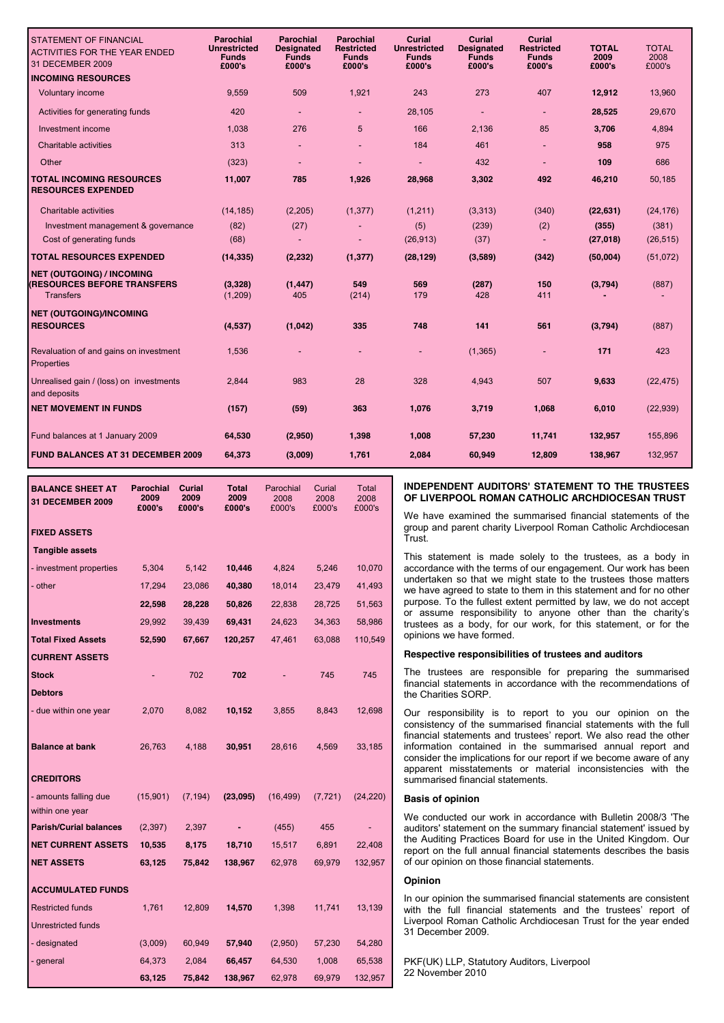| <b>STATEMENT OF FINANCIAL</b><br><b>ACTIVITIES FOR THE YEAR ENDED</b><br>31 DECEMBER 2009  | Parochial<br><b>Unrestricted</b><br><b>Funds</b><br>£000's | <b>Parochial</b><br><b>Designated</b><br><b>Funds</b><br>£000's | <b>Parochial</b><br><b>Restricted</b><br><b>Funds</b><br>£000's | <b>Curial</b><br><b>Unrestricted</b><br><b>Funds</b><br>£000's | Curial<br><b>Designated</b><br><b>Funds</b><br>£000's | <b>Curial</b><br><b>Restricted</b><br><b>Funds</b><br>£000's | <b>TOTAL</b><br>2009<br>£000's | <b>TOTAL</b><br>2008<br>£000's |
|--------------------------------------------------------------------------------------------|------------------------------------------------------------|-----------------------------------------------------------------|-----------------------------------------------------------------|----------------------------------------------------------------|-------------------------------------------------------|--------------------------------------------------------------|--------------------------------|--------------------------------|
| <b>INCOMING RESOURCES</b>                                                                  |                                                            |                                                                 |                                                                 |                                                                |                                                       |                                                              |                                |                                |
| Voluntary income                                                                           | 9,559                                                      | 509                                                             | 1,921                                                           | 243                                                            | 273                                                   | 407                                                          | 12,912                         | 13,960                         |
| Activities for generating funds                                                            | 420                                                        |                                                                 |                                                                 | 28,105                                                         | $\blacksquare$                                        |                                                              | 28,525                         | 29,670                         |
| Investment income                                                                          | 1,038                                                      | 276                                                             | 5                                                               | 166                                                            | 2,136                                                 | 85                                                           | 3,706                          | 4,894                          |
| Charitable activities                                                                      | 313                                                        |                                                                 |                                                                 | 184                                                            | 461                                                   |                                                              | 958                            | 975                            |
| Other                                                                                      | (323)                                                      |                                                                 |                                                                 |                                                                | 432                                                   |                                                              | 109                            | 686                            |
| <b>TOTAL INCOMING RESOURCES</b><br><b>RESOURCES EXPENDED</b>                               | 11,007                                                     | 785                                                             | 1,926                                                           | 28,968                                                         | 3,302                                                 | 492                                                          | 46,210                         | 50,185                         |
| Charitable activities                                                                      | (14, 185)                                                  | (2, 205)                                                        | (1, 377)                                                        | (1,211)                                                        | (3, 313)                                              | (340)                                                        | (22, 631)                      | (24, 176)                      |
| Investment management & governance                                                         | (82)                                                       | (27)                                                            |                                                                 | (5)                                                            | (239)                                                 | (2)                                                          | (355)                          | (381)                          |
| Cost of generating funds                                                                   | (68)                                                       |                                                                 |                                                                 | (26, 913)                                                      | (37)                                                  |                                                              | (27, 018)                      | (26, 515)                      |
| <b>TOTAL RESOURCES EXPENDED</b>                                                            | (14, 335)                                                  | (2, 232)                                                        | (1, 377)                                                        | (28, 129)                                                      | (3,589)                                               | (342)                                                        | (50,004)                       | (51,072)                       |
| <b>NET (OUTGOING) / INCOMING</b><br><b>(RESOURCES BEFORE TRANSFERS</b><br><b>Transfers</b> | (3,328)<br>(1, 209)                                        | (1, 447)<br>405                                                 | 549<br>(214)                                                    | 569<br>179                                                     | (287)<br>428                                          | 150<br>411                                                   | (3,794)                        | (887)                          |
| <b>NET (OUTGOING)/INCOMING</b>                                                             |                                                            |                                                                 |                                                                 |                                                                |                                                       |                                                              |                                |                                |
| <b>RESOURCES</b>                                                                           | (4,537)                                                    | (1,042)                                                         | 335                                                             | 748                                                            | 141                                                   | 561                                                          | (3,794)                        | (887)                          |
| Revaluation of and gains on investment<br>Properties                                       | 1,536                                                      |                                                                 |                                                                 |                                                                | (1, 365)                                              |                                                              | 171                            | 423                            |
| Unrealised gain / (loss) on investments<br>and deposits                                    | 2,844                                                      | 983                                                             | 28                                                              | 328                                                            | 4,943                                                 | 507                                                          | 9,633                          | (22, 475)                      |
| <b>NET MOVEMENT IN FUNDS</b>                                                               | (157)                                                      | (59)                                                            | 363                                                             | 1,076                                                          | 3,719                                                 | 1,068                                                        | 6,010                          | (22, 939)                      |
| Fund balances at 1 January 2009                                                            | 64,530                                                     | (2,950)                                                         | 1,398                                                           | 1,008                                                          | 57,230                                                | 11,741                                                       | 132,957                        | 155,896                        |
| <b>FUND BALANCES AT 31 DECEMBER 2009</b>                                                   | 64,373                                                     | (3,009)                                                         | 1,761                                                           | 2,084                                                          | 60,949                                                | 12,809                                                       | 138,967                        | 132,957                        |
|                                                                                            |                                                            |                                                                 |                                                                 |                                                                |                                                       |                                                              |                                |                                |

| <b>BALANCE SHEET AT</b><br>31 DECEMBER 2009 | <b>Parochial</b><br>2009<br>£000's | Curial<br>2009<br>£000's | <b>Total</b><br>2009<br>£000's | Parochial<br>2008<br>£000's | Curial<br>2008<br>£000's | <b>Total</b><br>2008<br>£000's |
|---------------------------------------------|------------------------------------|--------------------------|--------------------------------|-----------------------------|--------------------------|--------------------------------|
| <b>FIXED ASSETS</b>                         |                                    |                          |                                |                             |                          |                                |
| <b>Tangible assets</b>                      |                                    |                          |                                |                             |                          |                                |
| - investment properties                     | 5,304                              | 5,142                    | 10,446                         | 4,824                       | 5,246                    | 10,070                         |
| - other                                     | 17,294                             | 23,086                   | 40,380                         | 18,014                      | 23,479                   | 41,493                         |
|                                             | 22,598                             | 28,228                   | 50,826                         | 22,838                      | 28,725                   | 51,563                         |
| <b>Investments</b>                          | 29,992                             | 39,439                   | 69,431                         | 24,623                      | 34,363                   | 58,986                         |
| <b>Total Fixed Assets</b>                   | 52,590                             | 67,667                   | 120,257                        | 47,461                      | 63,088                   | 110,549                        |
| <b>CURRENT ASSETS</b>                       |                                    |                          |                                |                             |                          |                                |
| <b>Stock</b>                                |                                    | 702                      | 702                            |                             | 745                      | 745                            |
| <b>Debtors</b>                              |                                    |                          |                                |                             |                          |                                |
| - due within one year                       | 2,070                              | 8,082                    | 10,152                         | 3,855                       | 8,843                    | 12,698                         |
| <b>Balance at bank</b>                      | 26,763                             | 4,188                    | 30,951                         | 28,616                      | 4,569                    | 33,185                         |
| <b>CREDITORS</b>                            |                                    |                          |                                |                             |                          |                                |
| - amounts falling due<br>within one year    | (15,901)                           | (7, 194)                 | (23,095)                       | (16, 499)                   | (7, 721)                 | (24, 220)                      |
| <b>Parish/Curial balances</b>               | (2, 397)                           | 2,397                    |                                | (455)                       | 455                      |                                |
| <b>NET CURRENT ASSETS</b>                   | 10,535                             | 8,175                    | 18,710                         | 15,517                      | 6,891                    | 22,408                         |
| <b>NET ASSETS</b>                           | 63,125                             | 75,842                   | 138,967                        | 62,978                      | 69,979                   | 132,957                        |
| <b>ACCUMULATED FUNDS</b>                    |                                    |                          |                                |                             |                          |                                |
| <b>Restricted funds</b>                     | 1,761                              | 12,809                   | 14,570                         | 1,398                       | 11,741                   | 13,139                         |
| <b>Unrestricted funds</b>                   |                                    |                          |                                |                             |                          |                                |
| - designated                                | (3,009)                            | 60,949                   | 57,940                         | (2,950)                     | 57,230                   | 54,280                         |
| - general                                   | 64,373                             | 2,084                    | 66,457                         | 64,530                      | 1,008                    | 65,538                         |
|                                             | 63,125                             | 75,842                   | 138,967                        | 62,978                      | 69,979                   | 132,957                        |

#### **INDEPENDENT AUDITORS' STATEMENT TO THE TRUSTEES OF LIVERPOOL ROMAN CATHOLIC ARCHDIOCESAN TRUST**

We have examined the summarised financial statements of the group and parent charity Liverpool Roman Catholic Archdiocesan Trust.

This statement is made solely to the trustees, as a body in accordance with the terms of our engagement. Our work has been undertaken so that we might state to the trustees those matters we have agreed to state to them in this statement and for no other purpose. To the fullest extent permitted by law, we do not accept or assume responsibility to anyone other than the charity's trustees as a body, for our work, for this statement, or for the opinions we have formed.

#### **Respective responsibilities of trustees and auditors**

The trustees are responsible for preparing the summarised financial statements in accordance with the recommendations of the Charities SORP.

Our responsibility is to report to you our opinion on the consistency of the summarised financial statements with the full financial statements and trustees' report. We also read the other information contained in the summarised annual report and consider the implications for our report if we become aware of any apparent misstatements or material inconsistencies with the summarised financial statements.

#### **Basis of opinion**

We conducted our work in accordance with Bulletin 2008/3 'The auditors' statement on the summary financial statement' issued by the Auditing Practices Board for use in the United Kingdom. Our report on the full annual financial statements describes the basis of our opinion on those financial statements.

#### **Opinion**

In our opinion the summarised financial statements are consistent with the full financial statements and the trustees' report of Liverpool Roman Catholic Archdiocesan Trust for the year ended 31 December 2009.

PKF(UK) LLP, Statutory Auditors, Liverpool 22 November 2010